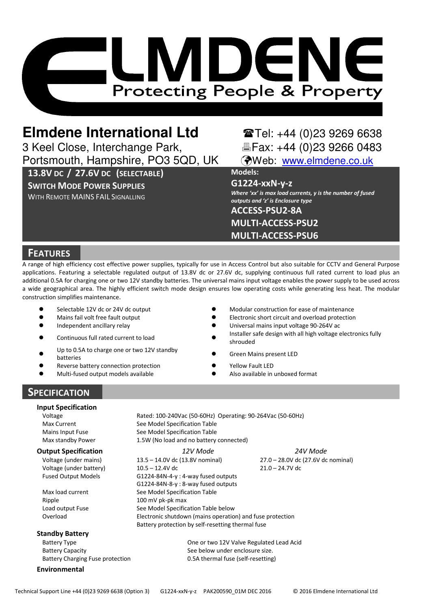

# **Elmdene International Ltd** Tel: +44 (0)23 9269 6638

3 Keel Close, Interchange Park, <br>Portsmouth, Hampshire, PO3 5QD, UK (Web: www.elmdene.co.uk) Portsmouth, Hampshire, PO3 5QD, UK

13.8V DC / 27.6V DC (SELECTABLE)

## SWITCH MODE POWER SUPPLIES

WITH REMOTE MAINS FAIL SIGNALLING

Models:

G1224-xxN-y-z

Where 'xx' is max load currents, y is the number of fused outputs and 'z' is Enclosure type ACCESS-PSU2-8A

MULTI-ACCESS-PSU2 MULTI-ACCESS-PSU6

## **FEATURES**

A range of high efficiency cost effective power supplies, typically for use in Access Control but also suitable for CCTV and General Purpose applications. Featuring a selectable regulated output of 13.8V dc or 27.6V dc, supplying continuous full rated current to load plus an additional 0.5A for charging one or two 12V standby batteries. The universal mains input voltage enables the power supply to be used across a wide geographical area. The highly efficient switch mode design ensures low operating costs while generating less heat. The modular construction simplifies maintenance.

- -Selectable 12V dc or 24V dc output
- -Mains fail volt free fault output
- $\bullet$ Independent ancillary relay - The Contract of the Contract of the Contract of the Contract of the Contract of the Contract of the Contract of the Contract of the Contract of the Contract of the Contract of the Contract of
- $\bullet$ Continuous full rated current to load -
- $\bullet$ Up to 0.5A to charge one or two 12V standby<br>batteries
- 
- $\bullet$ Reverse battery connection protection
- $\bullet$ Multi-fused output models available -
- Modular construction for ease of maintenance
- Electronic short circuit and overload protection
- Universal mains input voltage 90-264V ac
- Installer safe design with all high voltage electronics fully shrouded
- Green Mains present LED
- Yellow Fault LED
- Also available in unboxed format

## **SPECIFICATION**

#### Input Specification

Mains Input Fuse Max standby Power

Voltage (under mains) Voltage (under battery)

#### Standby Battery

Battery Capacity See below under enclosure size. Battery Charging Fuse protection 0.5A thermal fuse (self-resetting)

#### Environmental

Voltage Rated: 100-240Vac (50-60Hz) Operating: 90-264Vac (50-60Hz) Max Current See Model Specification Table See Model Specification Table 1.5W (No load and no battery connected)

**Output Specification 12V Mode 12V Mode 24V Mode** 13.5 – 14.0V dc (13.8V nominal) 10.5 – 12.4V dc 27.0 – 28.0V dc (27.6V dc nominal) 21.0 – 24.7V dc Fused Output Models G1224-84N-4-y : 4-way fused outputs G1224-84N-8-y : 8-way fused outputs Max load current See Model Specification Table Ripple 100 mV pk-pk max Load output Fuse See Model Specification Table below<br>
Cyerload Spectronic shutdown (mains operationally

Electronic shutdown (mains operation) and fuse protection Battery protection by self-resetting thermal fuse

Battery Type One or two 12V Valve Regulated Lead Acid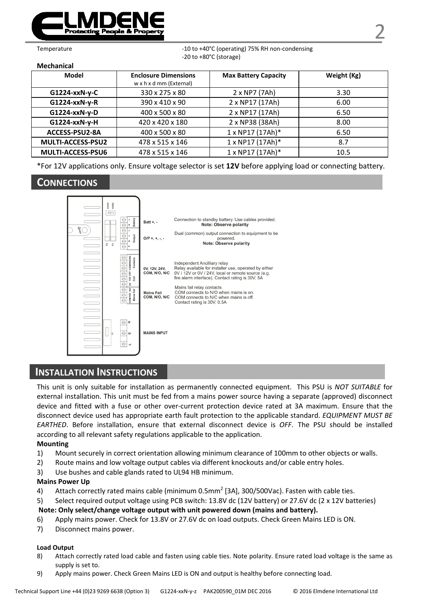

Temperature  $-10$  to  $+40^{\circ}$ C (operating) 75% RH non-condensing -20 to +80°C (storage)

Mechanical

| Model             | <b>Enclosure Dimensions</b><br>w x h x d mm (External) | <b>Max Battery Capacity</b> | Weight (Kg) |
|-------------------|--------------------------------------------------------|-----------------------------|-------------|
| G1224-xxN-y-C     | 330 x 275 x 80                                         | 2 x NP7 (7Ah)               | 3.30        |
| G1224-xxN-y-R     | 390 x 410 x 90                                         | 2 x NP17 (17Ah)             | 6.00        |
| G1224-xxN-y-D     | 400 x 500 x 80                                         | 2 x NP17 (17Ah)             | 6.50        |
| G1224-xxN-y-H     | 420 x 420 x 180                                        | 2 x NP38 (38Ah)             | 8.00        |
| ACCESS-PSU2-8A    | 400 x 500 x 80                                         | $1 \times NP17 (17Ah)^*$    | 6.50        |
| MULTI-ACCESS-PSU2 | 478 x 515 x 146                                        | $1 \times NP17 (17Ah)^*$    | 8.7         |
| MULTI-ACCESS-PSU6 | 478 x 515 x 146                                        | 1 x NP17 (17Ah)*            | 10.5        |

\*For 12V applications only. Ensure voltage selector is set 12V before applying load or connecting battery.

## CONNECTIONS



## INSTALLATION INSTRUCTIONS

This unit is only suitable for installation as permanently connected equipment. This PSU is NOT SUITABLE for external installation. This unit must be fed from a mains power source having a separate (approved) disconnect device and fitted with a fuse or other over-current protection device rated at 3A maximum. Ensure that the disconnect device used has appropriate earth fault protection to the applicable standard. EQUIPMENT MUST BE EARTHED. Before installation, ensure that external disconnect device is OFF. The PSU should be installed according to all relevant safety regulations applicable to the application.

#### Mounting

- 1) Mount securely in correct orientation allowing minimum clearance of 100mm to other objects or walls.
- 2) Route mains and low voltage output cables via different knockouts and/or cable entry holes.
- 3) Use bushes and cable glands rated to UL94 HB minimum.

#### Mains Power Up

- 4) Attach correctly rated mains cable (minimum 0.5mm<sup>2</sup> [3A], 300/500Vac). Fasten with cable ties.
- 5) Select required output voltage using PCB switch: 13.8V dc (12V battery) or 27.6V dc (2 x 12V batteries) Note: Only select/change voltage output with unit powered down (mains and battery).
- 6) Apply mains power. Check for 13.8V or 27.6V dc on load outputs. Check Green Mains LED is ON.
- 7) Disconnect mains power.

#### Load Output

- 8) Attach correctly rated load cable and fasten using cable ties. Note polarity. Ensure rated load voltage is the same as supply is set to.
- 9) Apply mains power. Check Green Mains LED is ON and output is healthy before connecting load.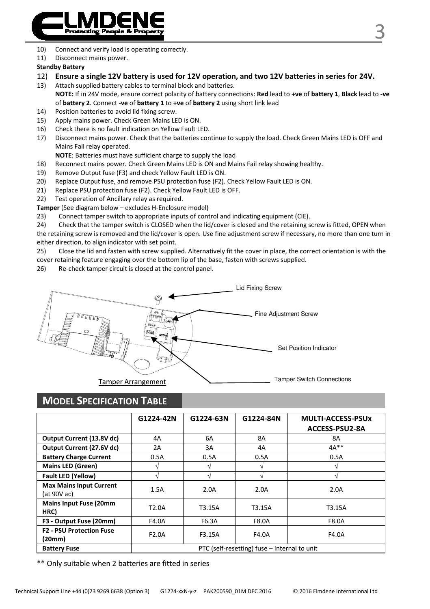

- 10) Connect and verify load is operating correctly.
- 11) Disconnect mains power.

#### Standby Battery

12) Ensure a single 12V battery is used for 12V operation, and two 12V batteries in series for 24V.

13) Attach supplied battery cables to terminal block and batteries. NOTE: If in 24V mode, ensure correct polarity of battery connections: Red lead to +ve of battery 1, Black lead to -ve of battery 2. Connect -ve of battery 1 to +ve of battery 2 using short link lead

- 14) Position batteries to avoid lid fixing screw.
- 15) Apply mains power. Check Green Mains LED is ON.
- 16) Check there is no fault indication on Yellow Fault LED.
- 17) Disconnect mains power. Check that the batteries continue to supply the load. Check Green Mains LED is OFF and Mains Fail relay operated.

NOTE: Batteries must have sufficient charge to supply the load

- 18) Reconnect mains power. Check Green Mains LED is ON and Mains Fail relay showing healthy.
- 19) Remove Output fuse (F3) and check Yellow Fault LED is ON.
- 20) Replace Output fuse, and remove PSU protection fuse (F2). Check Yellow Fault LED is ON.
- 21) Replace PSU protection fuse (F2). Check Yellow Fault LED is OFF.
- 22) Test operation of Ancillary relay as required.

Tamper (See diagram below – excludes H-Enclosure model)

23) Connect tamper switch to appropriate inputs of control and indicating equipment (CIE).

24) Check that the tamper switch is CLOSED when the lid/cover is closed and the retaining screw is fitted, OPEN when the retaining screw is removed and the lid/cover is open. Use fine adjustment screw if necessary, no more than one turn in either direction, to align indicator with set point.

25) Close the lid and fasten with screw supplied. Alternatively fit the cover in place, the correct orientation is with the cover retaining feature engaging over the bottom lip of the base, fasten with screws supplied.

26) Re-check tamper circuit is closed at the control panel.



## MODEL SPECIFICATION TABLE

|                                               | G1224-42N                                    | G1224-63N | G1224-84N | <b>MULTI-ACCESS-PSUx</b><br><b>ACCESS-PSU2-8A</b> |
|-----------------------------------------------|----------------------------------------------|-----------|-----------|---------------------------------------------------|
| Output Current (13.8V dc)                     | 4A                                           | 6A        | 8A        | 8A                                                |
| Output Current (27.6V dc)                     | 2A                                           | 3A        | 4A        | $4A**$                                            |
| <b>Battery Charge Current</b>                 | 0.5A                                         | 0.5A      | 0.5A      | 0.5A                                              |
| <b>Mains LED (Green)</b>                      |                                              |           |           |                                                   |
| <b>Fault LED (Yellow)</b>                     | N                                            |           |           |                                                   |
| <b>Max Mains Input Current</b><br>(at 90V ac) | 1.5A                                         | 2.0A      | 2.0A      | 2.0A                                              |
| <b>Mains Input Fuse (20mm</b><br>HRC)         | T <sub>2.0</sub> A                           | T3.15A    | T3.15A    | T3.15A                                            |
| F3 - Output Fuse (20mm)                       | F4.0A                                        | F6.3A     | F8.0A     | F8.0A                                             |
| <b>F2 - PSU Protection Fuse</b><br>(20mm)     | F <sub>2.0</sub> A                           | F3.15A    | F4.0A     | F4.0A                                             |
| <b>Battery Fuse</b>                           | PTC (self-resetting) fuse - Internal to unit |           |           |                                                   |

\*\* Only suitable when 2 batteries are fitted in series